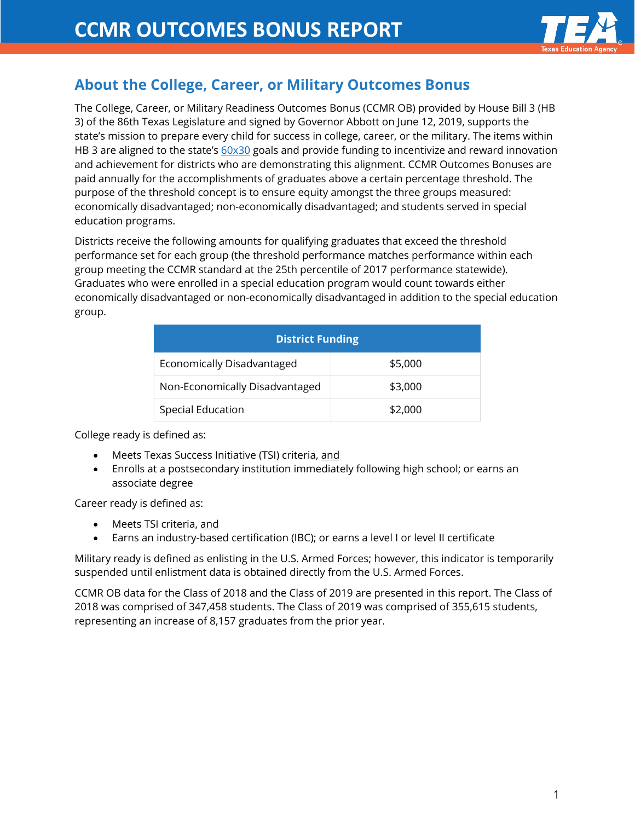

# **About the College, Career, or Military Outcomes Bonus**

The College, Career, or Military Readiness Outcomes Bonus (CCMR OB) provided by House Bill 3 (HB 3) of the 86th Texas Legislature and signed by Governor Abbott on June 12, 2019, supports the state's mission to prepare every child for success in college, career, or the military. The items within HB 3 are aligned to the state's [60x30](http://www.60x30tx.com/) goals and provide funding to incentivize and reward innovation and achievement for districts who are demonstrating this alignment. CCMR Outcomes Bonuses are paid annually for the accomplishments of graduates above a certain percentage threshold. The purpose of the threshold concept is to ensure equity amongst the three groups measured: economically disadvantaged; non-economically disadvantaged; and students served in special education programs.

Districts receive the following amounts for qualifying graduates that exceed the threshold performance set for each group (the threshold performance matches performance within each group meeting the CCMR standard at the 25th percentile of 2017 performance statewide). Graduates who were enrolled in a special education program would count towards either economically disadvantaged or non-economically disadvantaged in addition to the special education group.

| <b>District Funding</b>        |         |  |
|--------------------------------|---------|--|
| Economically Disadvantaged     | \$5,000 |  |
| Non-Economically Disadvantaged | \$3,000 |  |
| Special Education              | \$2,000 |  |

College ready is defined as:

- Meets Texas Success Initiative (TSI) criteria, and
- Enrolls at a postsecondary institution immediately following high school; or earns an associate degree

Career ready is defined as:

- Meets TSI criteria, and
- Earns an industry-based certification (IBC); or earns a level I or level II certificate

Military ready is defined as enlisting in the U.S. Armed Forces; however, this indicator is temporarily suspended until enlistment data is obtained directly from the U.S. Armed Forces.

CCMR OB data for the Class of 2018 and the Class of 2019 are presented in this report. The Class of 2018 was comprised of 347,458 students. The Class of 2019 was comprised of 355,615 students, representing an increase of 8,157 graduates from the prior year.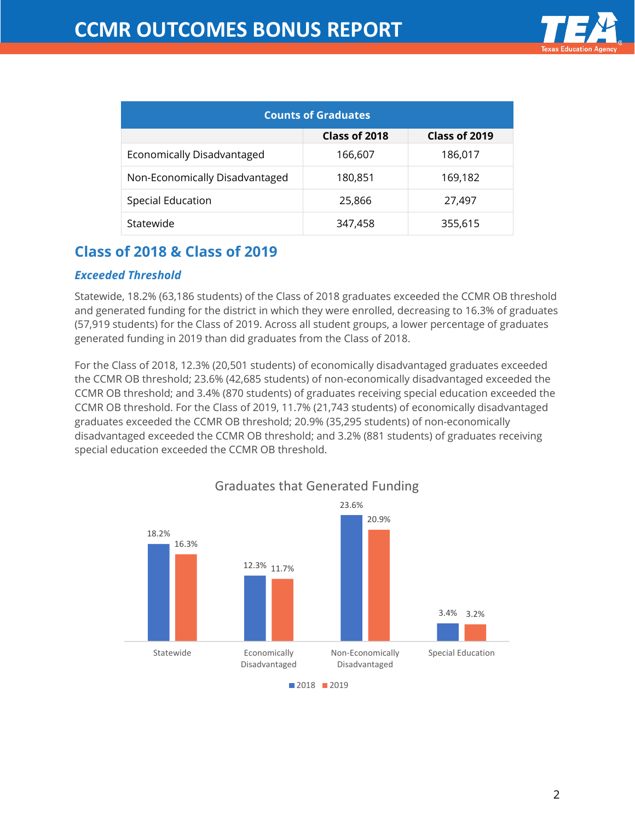| <b>Counts of Graduates</b>     |               |               |  |
|--------------------------------|---------------|---------------|--|
|                                | Class of 2018 | Class of 2019 |  |
| Economically Disadvantaged     | 166,607       | 186,017       |  |
| Non-Economically Disadvantaged | 180,851       | 169,182       |  |
| Special Education              | 25,866        | 27,497        |  |
| Statewide                      | 347,458       | 355,615       |  |

# **Class of 2018 & Class of 2019**

### *Exceeded Threshold*

Statewide, 18.2% (63,186 students) of the Class of 2018 graduates exceeded the CCMR OB threshold and generated funding for the district in which they were enrolled, decreasing to 16.3% of graduates (57,919 students) for the Class of 2019. Across all student groups, a lower percentage of graduates generated funding in 2019 than did graduates from the Class of 2018.

For the Class of 2018, 12.3% (20,501 students) of economically disadvantaged graduates exceeded the CCMR OB threshold; 23.6% (42,685 students) of non-economically disadvantaged exceeded the CCMR OB threshold; and 3.4% (870 students) of graduates receiving special education exceeded the CCMR OB threshold. For the Class of 2019, 11.7% (21,743 students) of economically disadvantaged graduates exceeded the CCMR OB threshold; 20.9% (35,295 students) of non-economically disadvantaged exceeded the CCMR OB threshold; and 3.2% (881 students) of graduates receiving special education exceeded the CCMR OB threshold.



# Graduates that Generated Funding

**2018** 2019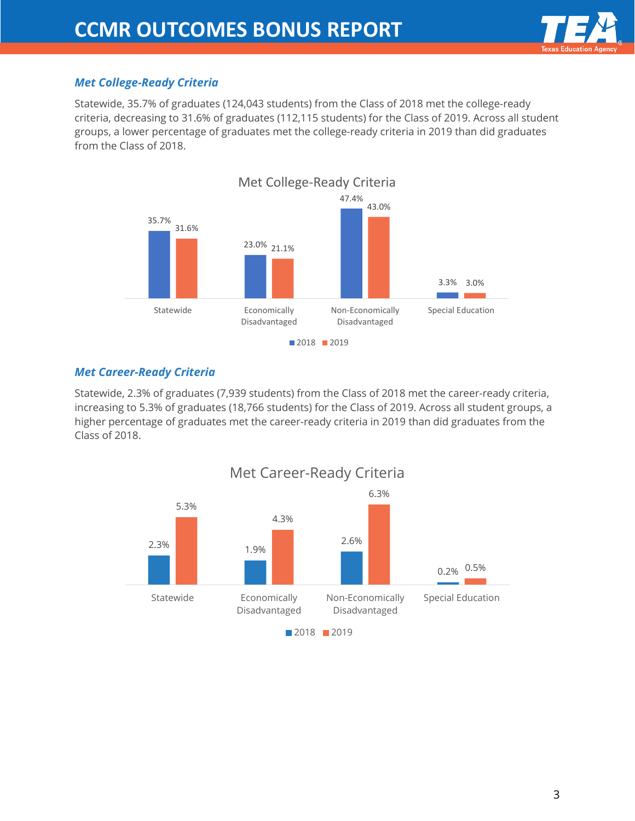

## *Met College-Ready Criteria*

Statewide, 35.7% of graduates (124,043 students) from the Class of 2018 met the college-ready criteria, decreasing to 31.6% of graduates (112,115 students) for the Class of 2019. Across all student groups, a lower percentage of graduates met the college-ready criteria in 2019 than did graduates from the Class of 2018.



### *Met Career-Ready Criteria*

Statewide, 2.3% of graduates (7,939 students) from the Class of 2018 met the career-ready criteria, increasing to 5.3% of graduates (18,766 students) for the Class of 2019. Across all student groups, a higher percentage of graduates met the career-ready criteria in 2019 than did graduates from the Class of 2018.